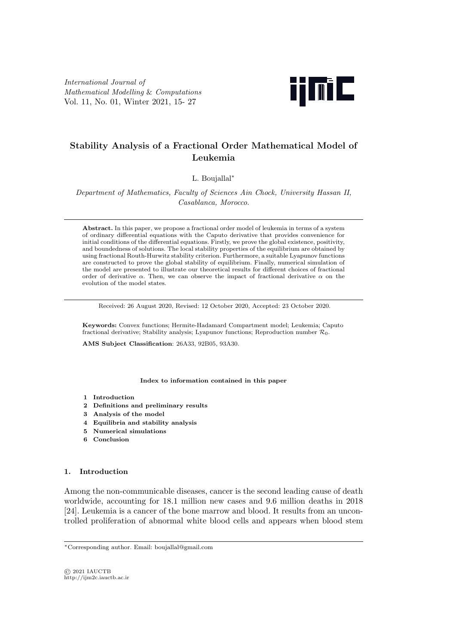*International Journal of Mathematical Modelling* & *Computations* Vol. 11, No. 01, Winter 2021, 15- 27



# **Stability Analysis of a Fractional Order Mathematical Model of Leukemia**

L. Boujallal*∗*

*Department of Mathematics, Faculty of Sciences Ain Chock, University Hassan II, Casablanca, Morocco*.

**Abstract.** In this paper, we propose a fractional order model of leukemia in terms of a system of ordinary differential equations with the Caputo derivative that provides convenience for initial conditions of the differential equations. Firstly, we prove the global existence, positivity, and boundedness of solutions. The local stability properties of the equilibrium are obtained by using fractional Routh-Hurwitz stability criterion. Furthermore, a suitable Lyapunov functions are constructed to prove the global stability of equilibrium. Finally, numerical simulation of the model are presented to illustrate our theoretical results for different choices of fractional order of derivative  $\alpha$ . Then, we can observe the impact of fractional derivative  $\alpha$  on the evolution of the model states.

Received: 26 August 2020, Revised: 12 October 2020, Accepted: 23 October 2020.

**Keywords:** Convex functions; Hermite-Hadamard Compartment model; Leukemia; Caputo fractional derivative; Stability analysis; Lyapunov functions; Reproduction number *R*0.

**AMS Subject Classification**: 26A33, 92B05, 93A30.

**Index to information contained in this paper**

- **1 Introduction**
- **2 Definitions and preliminary results**
- **3 Analysis of the model**
- **4 Equilibria and stability analysis**
- **5 Numerical simulations**
- **6 Conclusion**

# **1. Introduction**

Among the non-communicable diseases, cancer is the second leading cause of death worldwide, accounting for 18.1 million new cases and 9.6 million deaths in 2018 [24]. Leukemia is a cancer of the bone marrow and blood. It results from an uncontrolled proliferation of abnormal white blood cells and appears when blood stem

*<sup>∗</sup>*Corresponding author. Email: boujallal@gmail.com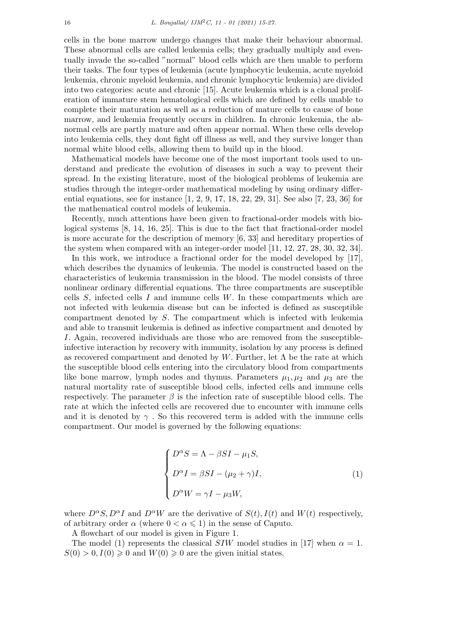cells in the bone marrow undergo changes that make their behaviour abnormal. These abnormal cells are called leukemia cells; they gradually multiply and eventually invade the so-called "normal" blood cells which are then unable to perform their tasks. The four types of leukemia (acute lymphocytic leukemia, acute myeloid leukemia, chronic myeloid leukemia, and chronic lymphocytic leukemia) are divided into two categories: acute and chronic [15]. Acute leukemia which is a clonal proliferation of immature stem hematological cells which are defined by cells unable to complete their maturation as well as a reduction of mature cells to cause of bone marrow, and leukemia frequently occurs in children. In chronic leukemia, the abnormal cells are partly mature and often appear normal. When these cells develop into leukemia cells, they dont fight off illness as well, and they survive longer than normal white blood cells, allowing them to build up in the blood.

Mathematical models have become one of the most important tools used to understand and predicate the evolution of diseases in such a way to prevent their spread. In the existing literature, most of the biological problems of leukemia are studies through the integer-order mathematical modeling by using ordinary differential equations, see for instance  $[1, 2, 9, 17, 18, 22, 29, 31]$ . See also  $[7, 23, 36]$  for the mathematical control models of leukemia.

Recently, much attentions have been given to fractional-order models with biological systems [8, 14, 16, 25]. This is due to the fact that fractional-order model is more accurate for the description of memory [6, 33] and hereditary properties of the system when compared with an integer-order model [11, 12, 27, 28, 30, 32, 34].

In this work, we introduce a fractional order for the model developed by [17], which describes the dynamics of leukemia. The model is constructed based on the characteristics of leukemia transmission in the blood. The model consists of three nonlinear ordinary differential equations. The three compartments are susceptible cells *S*, infected cells *I* and immune cells *W*. In these compartments which are not infected with leukemia disease but can be infected is defined as susceptible compartment denoted by *S*. The compartment which is infected with leukemia and able to transmit leukemia is defined as infective compartment and denoted by *I*. Again, recovered individuals are those who are removed from the susceptibleinfective interaction by recovery with immunity, isolation by any process is defined as recovered compartment and denoted by  $W$ . Further, let  $\Lambda$  be the rate at which the susceptible blood cells entering into the circulatory blood from compartments like bone marrow, lymph nodes and thymus. Parameters  $\mu_1, \mu_2$  and  $\mu_3$  are the natural mortality rate of susceptible blood cells, infected cells and immune cells respectively. The parameter  $\beta$  is the infection rate of susceptible blood cells. The rate at which the infected cells are recovered due to encounter with immune cells and it is denoted by  $\gamma$ . So this recovered term is added with the immune cells compartment. Our model is governed by the following equations:

$$
\begin{cases}\nD^{\alpha}S = \Lambda - \beta SI - \mu_1 S, \\
D^{\alpha}I = \beta SI - (\mu_2 + \gamma)I, \\
D^{\alpha}W = \gamma I - \mu_3 W,\n\end{cases}
$$
\n(1)

where  $D^{\alpha}S, D^{\alpha}I$  and  $D^{\alpha}W$  are the derivative of  $S(t), I(t)$  and  $W(t)$  respectively, of arbitrary order  $\alpha$  (where  $0 < \alpha \leq 1$ ) in the sense of Caputo.

A flowchart of our model is given in Figure 1.

The model (1) represents the classical *SIW* model studies in [17] when  $\alpha = 1$ .  $S(0) > 0, I(0) \geq 0$  and  $W(0) \geq 0$  are the given initial states.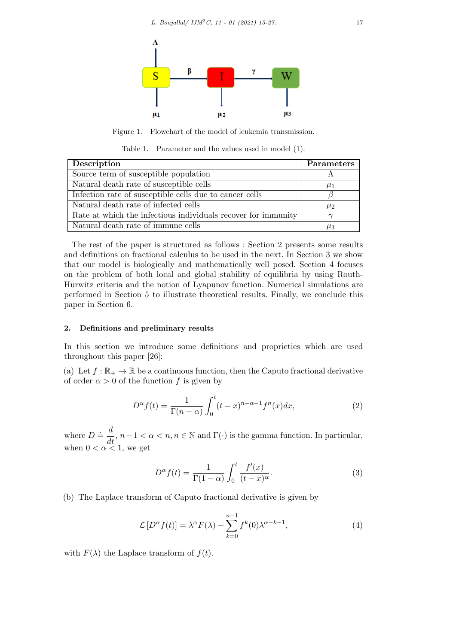

Figure 1. Flowchart of the model of leukemia transmission.

Table 1. Parameter and the values used in model (1).

| <b>Description</b>                                            | Parameters |
|---------------------------------------------------------------|------------|
| Source term of susceptible population                         |            |
| Natural death rate of susceptible cells                       | $\mu_1$    |
| Infection rate of susceptible cells due to cancer cells       |            |
| Natural death rate of infected cells                          | $\mu_2$    |
| Rate at which the infectious individuals recover for immunity |            |
| Natural death rate of immune cells                            | $\mu_3$    |

The rest of the paper is structured as follows : Section 2 presents some results and definitions on fractional calculus to be used in the next. In Section 3 we show that our model is biologically and mathematically well posed. Section 4 focuses on the problem of both local and global stability of equilibria by using Routh-Hurwitz criteria and the notion of Lyapunov function. Numerical simulations are performed in Section 5 to illustrate theoretical results. Finally, we conclude this paper in Section 6.

# **2. Definitions and preliminary results**

In this section we introduce some definitions and proprieties which are used throughout this paper [26]:

(a) Let  $f : \mathbb{R}_+ \to \mathbb{R}$  be a continuous function, then the Caputo fractional derivative of order  $\alpha > 0$  of the function f is given by

$$
D^{\alpha}f(t) = \frac{1}{\Gamma(n-\alpha)} \int_0^t (t-x)^{n-\alpha-1} f^n(x) dx, \tag{2}
$$

where  $D \doteq \frac{d}{dt}$ ,  $n-1 < \alpha < n, n \in \mathbb{N}$  and  $\Gamma(\cdot)$  is the gamma function. In particular, when  $0 < \alpha \leq 1$ , we get

$$
D^{\alpha} f(t) = \frac{1}{\Gamma(1-\alpha)} \int_0^t \frac{f'(x)}{(t-x)^{\alpha}}.
$$
 (3)

(b) The Laplace transform of Caputo fractional derivative is given by

$$
\mathcal{L}\left[D^{\alpha}f(t)\right] = \lambda^{\alpha}F(\lambda) - \sum_{k=0}^{n-1} f^k(0)\lambda^{\alpha-k-1},\tag{4}
$$

with  $F(\lambda)$  the Laplace transform of  $f(t)$ .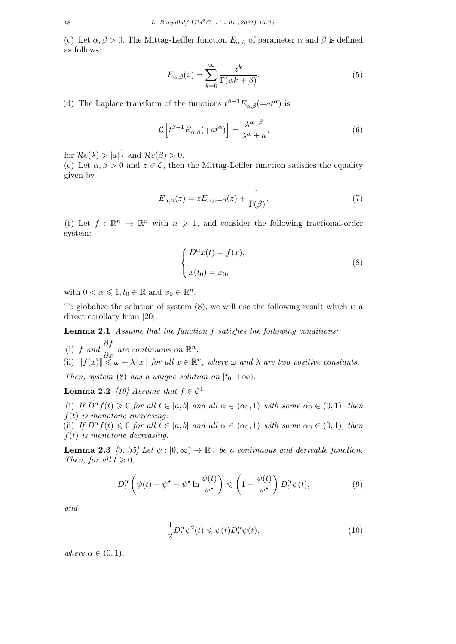(c) Let  $\alpha, \beta > 0$ . The Mittag-Leffler function  $E_{\alpha,\beta}$  of parameter  $\alpha$  and  $\beta$  is defined as follows:

$$
E_{\alpha,\beta}(z) = \sum_{k=0}^{\infty} \frac{z^k}{\Gamma(\alpha k + \beta)}.
$$
\n(5)

(d) The Laplace transform of the functions  $t^{\beta-1}E_{\alpha,\beta}(\mp at^{\alpha})$  is

$$
\mathcal{L}\left[t^{\beta-1}E_{\alpha,\beta}(\mp at^{\alpha})\right] = \frac{\lambda^{\alpha-\beta}}{\lambda^{\alpha} \pm a},\tag{6}
$$

for  $Re(\lambda) > |a|^{\frac{1}{\alpha}}$  and  $Re(\beta) > 0$ .

(e) Let  $\alpha, \beta > 0$  and  $z \in \mathcal{C}$ , then the Mittag-Leffler function satisfies the equality given by

$$
E_{\alpha,\beta}(z) = zE_{\alpha,\alpha+\beta}(z) + \frac{1}{\Gamma(\beta)}.
$$
\n(7)

(f) Let  $f : \mathbb{R}^n \to \mathbb{R}^n$  with  $n \geq 1$ , and consider the following fractional-order system:

$$
\begin{cases}\nD^{\alpha}x(t) = f(x), \\
x(t_0) = x_0,\n\end{cases}
$$
\n(8)

with  $0 < \alpha \leq 1, t_0 \in \mathbb{R}$  and  $x_0 \in \mathbb{R}^n$ .

To globalize the solution of system (8), we will use the following result which is a direct corollary from [20].

**Lemma 2.1** *Assume that the function f satisfies the following conditions:*

(i) *f* and  $\frac{\partial f}{\partial x}$  are continuous on  $\mathbb{R}^n$ . (ii) *∥f*(*x*)*∥* ⩽ *ω* + *λ∥x∥ for all x ∈* R *n , where ω and λ are two positive constants.*

*Then, system* (8) *has a unique solution on*  $[t_0, +\infty)$ *.* 

**Lemma 2.2** *[10]* Assume that  $f \in C^1$ .

(i) *If*  $D^{\alpha} f(t) \geq 0$  *for all*  $t \in [a, b]$  *and all*  $\alpha \in (\alpha_0, 1)$  *with some*  $\alpha_0 \in (0, 1)$ *, then f*(*t*) *is monotone increasing.*

(ii) *If*  $D^{\alpha} f(t) \leq 0$  *for all*  $t \in [a, b]$  *and all*  $\alpha \in (\alpha_0, 1)$  *with some*  $\alpha_0 \in (0, 1)$ *, then f*(*t*) *is monotone decreasing.*

**Lemma 2.3** *[3, 35]* Let  $\psi$  :  $[0, \infty) \to \mathbb{R}_+$  be a continuous and derivable function. *Then, for all*  $t \geq 0$ *,* 

$$
D_t^{\alpha} \left( \psi(t) - \psi^{\star} - \psi^{\star} \ln \frac{\psi(t)}{\psi^{\star}} \right) \leqslant \left( 1 - \frac{\psi(t)}{\psi^{\star}} \right) D_t^{\alpha} \psi(t), \tag{9}
$$

*and*

$$
\frac{1}{2}D_t^{\alpha}\psi^2(t) \leq \psi(t)D_t^{\alpha}\psi(t),\tag{10}
$$

*where*  $\alpha \in (0, 1)$ *.*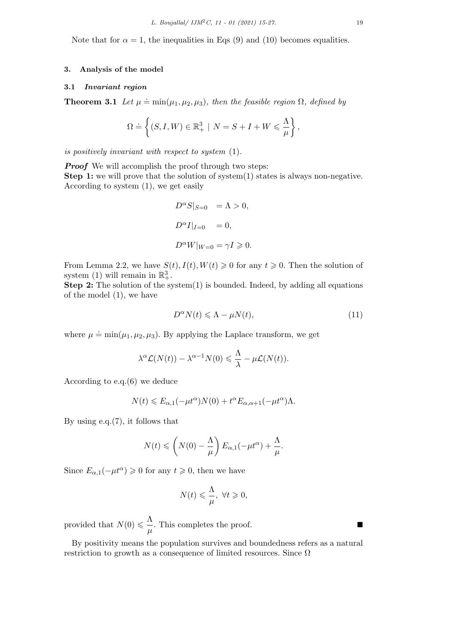Note that for  $\alpha = 1$ , the inequalities in Eqs (9) and (10) becomes equalities.

### **3. Analysis of the model**

### **3.1** *Invariant region*

**Theorem 3.1** *Let*  $\mu \doteq \min(\mu_1, \mu_2, \mu_3)$ *, then the feasible region*  $\Omega$ *, defined by* 

$$
\Omega \doteq \left\{(S, I, W) \in \mathbb{R}^3_+ \mid N = S + I + W \leqslant \frac{\Lambda}{\mu} \right\},\
$$

*is positively invariant with respect to system* (1)*.*

*Proof* We will accomplish the proof through two steps: **Step 1:** we will prove that the solution of system(1) states is always non-negative. According to system (1), we get easily

$$
D^{\alpha}S|_{S=0} = \Lambda > 0,
$$
  

$$
D^{\alpha}I|_{I=0} = 0,
$$
  

$$
D^{\alpha}W|_{W=0} = \gamma I \geq 0.
$$

From Lemma 2.2, we have  $S(t)$ ,  $I(t)$ ,  $W(t) \geq 0$  for any  $t \geq 0$ . Then the solution of system (1) will remain in  $\mathbb{R}^3_+$ .

**Step 2:** The solution of the system(1) is bounded. Indeed, by adding all equations of the model (1), we have

$$
D^{\alpha}N(t) \leq \Lambda - \mu N(t),\tag{11}
$$

where  $\mu \doteq \min(\mu_1, \mu_2, \mu_3)$ . By applying the Laplace transform, we get

$$
\lambda^{\alpha} \mathcal{L}(N(t)) - \lambda^{\alpha - 1} N(0) \leq \frac{\Lambda}{\lambda} - \mu \mathcal{L}(N(t)).
$$

According to e.q.(6) we deduce

$$
N(t) \leqslant E_{\alpha,1}(-\mu t^{\alpha})N(0) + t^{\alpha} E_{\alpha,\alpha+1}(-\mu t^{\alpha})\Lambda.
$$

By using e.q.(7), it follows that

$$
N(t) \leqslant \left(N(0) - \frac{\Lambda}{\mu}\right) E_{\alpha,1}(-\mu t^{\alpha}) + \frac{\Lambda}{\mu}.
$$

Since  $E_{\alpha,1}(-\mu t^{\alpha}) \geq 0$  for any  $t \geq 0$ , then we have

$$
N(t) \leqslant \frac{\Lambda}{\mu}, \ \forall t \geqslant 0,
$$

provided that  $N(0) \leqslant \frac{\Lambda}{\Lambda}$  $\frac{1}{\mu}$ . This completes the proof.

By positivity means the population survives and boundedness refers as a natural restriction to growth as a consequence of limited resources. Since  $\Omega$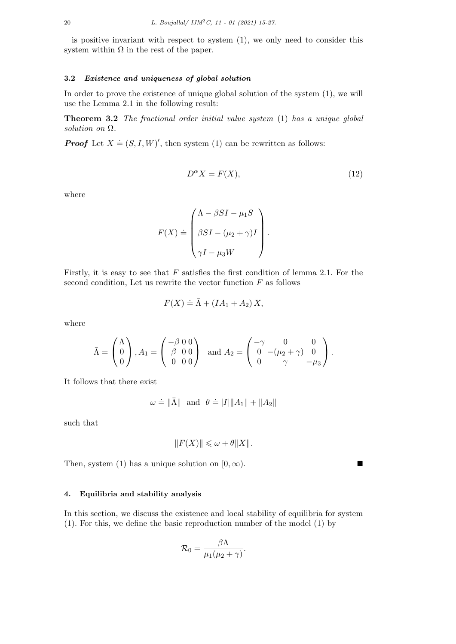is positive invariant with respect to system (1), we only need to consider this system within  $\Omega$  in the rest of the paper.

# **3.2** *Existence and uniqueness of global solution*

In order to prove the existence of unique global solution of the system (1), we will use the Lemma 2.1 in the following result:

**Theorem 3.2** *The fractional order initial value system* (1) *has a unique global solution on* Ω*.*

*Proof* Let  $X \doteq (S, I, W)'$ , then system (1) can be rewritten as follows:

$$
D^{\alpha}X = F(X),\tag{12}
$$

where

$$
F(X) \doteq \begin{pmatrix} \Lambda - \beta SI - \mu_1 S \\ \beta SI - (\mu_2 + \gamma)I \\ \gamma I - \mu_3 W \end{pmatrix}.
$$

Firstly, it is easy to see that *F* satisfies the first condition of lemma 2.1. For the second condition, Let us rewrite the vector function *F* as follows

$$
F(X) \doteq \bar{\Lambda} + (IA_1 + A_2) X,
$$

where

$$
\bar{\Lambda} = \begin{pmatrix} \Lambda \\ 0 \\ 0 \end{pmatrix}, A_1 = \begin{pmatrix} -\beta & 0 & 0 \\ \beta & 0 & 0 \\ 0 & 0 & 0 \end{pmatrix} \text{ and } A_2 = \begin{pmatrix} -\gamma & 0 & 0 \\ 0 & -(\mu_2 + \gamma) & 0 \\ 0 & \gamma & -\mu_3 \end{pmatrix}.
$$

It follows that there exist

$$
\omega \doteq \|\bar{\Lambda}\| \text{ and } \theta \doteq |I| \|A_1\| + \|A_2\|
$$

such that

$$
||F(X)||\leqslant \omega+\theta ||X||.
$$

Then, system (1) has a unique solution on  $[0, \infty)$ .

# **4. Equilibria and stability analysis**

In this section, we discuss the existence and local stability of equilibria for system (1). For this, we define the basic reproduction number of the model (1) by

$$
\mathcal{R}_0=\frac{\beta\Lambda}{\mu_1(\mu_2+\gamma)}.
$$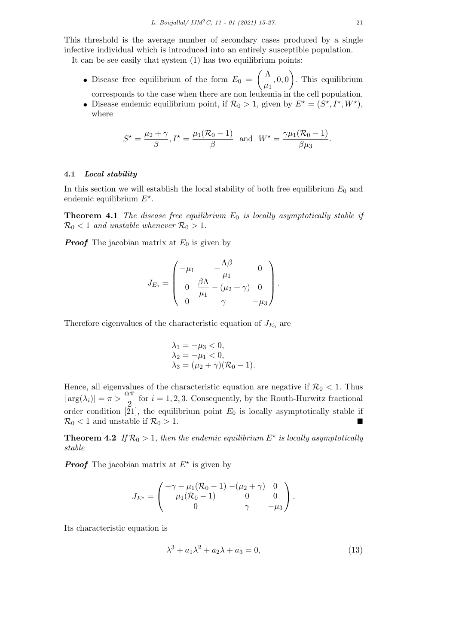This threshold is the average number of secondary cases produced by a single infective individual which is introduced into an entirely susceptible population. It can be see easily that system (1) has two equilibrium points:

- Disease free equilibrium of the form  $E_0 = \left(\frac{\Lambda}{\mu}\right)$  $\left(\frac{\Lambda}{\mu_1}, 0, 0\right)$ . This equilibrium corresponds to the case when there are non leukemia in the cell population.
- Disease endemic equilibrium point, if  $\mathcal{R}_0 > 1$ , given by  $E^* = (S^*, I^*, W^*)$ , where

$$
S^* = \frac{\mu_2 + \gamma}{\beta}, I^* = \frac{\mu_1(\mathcal{R}_0 - 1)}{\beta} \text{ and } W^* = \frac{\gamma \mu_1(\mathcal{R}_0 - 1)}{\beta \mu_3}.
$$

### **4.1** *Local stability*

In this section we will establish the local stability of both free equilibrium  $E_0$  and endemic equilibrium *E<sup>⋆</sup>* .

**Theorem 4.1** *The disease free equilibrium E*<sup>0</sup> *is locally asymptotically stable if*  $\mathcal{R}_0$  < 1 *and unstable whenever*  $\mathcal{R}_0$  > 1*.* 

*Proof* The jacobian matrix at *E*<sup>0</sup> is given by

$$
J_{E_0} = \begin{pmatrix} -\mu_1 & -\frac{\Lambda \beta}{\mu_1} & 0 \\ 0 & \frac{\beta \Lambda}{\mu_1} - (\mu_2 + \gamma) & 0 \\ 0 & \gamma & -\mu_3 \end{pmatrix}.
$$

Therefore eigenvalues of the characteristic equation of  $J_{E_0}$  are

$$
\lambda_1 = -\mu_3 < 0, \\
\lambda_2 = -\mu_1 < 0, \\
\lambda_3 = (\mu_2 + \gamma)(\mathcal{R}_0 - 1).
$$

Hence, all eigenvalues of the characteristic equation are negative if  $\mathcal{R}_0 < 1$ . Thus  $|\arg(\lambda_i)| = \pi > \frac{\alpha \pi}{2}$  $\frac{2}{2}$  for  $i = 1, 2, 3$ . Consequently, by the Routh-Hurwitz fractional order condition  $\left[21\right]$ , the equilibrium point  $E_0$  is locally asymptotically stable if  $\mathcal{R}_0$  < 1 and unstable if  $\mathcal{R}_0 > 1$ .

**Theorem 4.2** If  $\mathcal{R}_0 > 1$ , then the endemic equilibrium  $E^*$  is locally asymptotically *stable*

*Proof* The jacobian matrix at  $E^*$  is given by

$$
J_{E^*} = \begin{pmatrix} -\gamma - \mu_1(\mathcal{R}_0 - 1) - (\mu_2 + \gamma) & 0 \\ \mu_1(\mathcal{R}_0 - 1) & 0 & 0 \\ 0 & \gamma & -\mu_3 \end{pmatrix}.
$$

Its characteristic equation is

$$
\lambda^3 + a_1 \lambda^2 + a_2 \lambda + a_3 = 0,\tag{13}
$$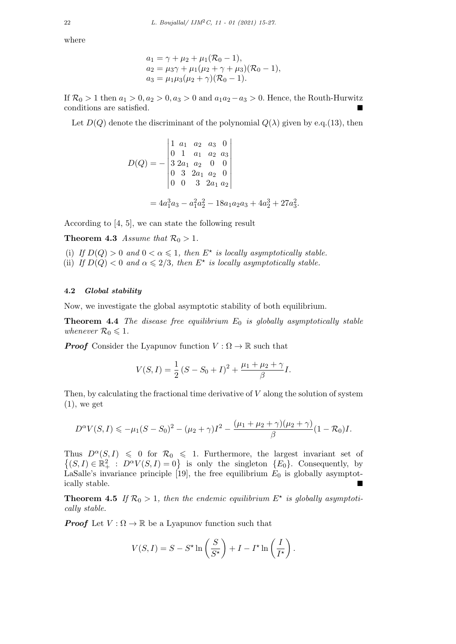where

$$
a_1 = \gamma + \mu_2 + \mu_1(\mathcal{R}_0 - 1),
$$
  
\n
$$
a_2 = \mu_3 \gamma + \mu_1(\mu_2 + \gamma + \mu_3)(\mathcal{R}_0 - 1),
$$
  
\n
$$
a_3 = \mu_1 \mu_3(\mu_2 + \gamma)(\mathcal{R}_0 - 1).
$$

If  $\mathcal{R}_0 > 1$  then  $a_1 > 0, a_2 > 0, a_3 > 0$  and  $a_1 a_2 - a_3 > 0$ . Hence, the Routh-Hurwitz conditions are satisfied.

Let  $D(Q)$  denote the discriminant of the polynomial  $Q(\lambda)$  given by e.q.(13), then

$$
D(Q) = -\begin{vmatrix} 1 & a_1 & a_2 & a_3 & 0 \\ 0 & 1 & a_1 & a_2 & a_3 \\ 3 & 2a_1 & a_2 & 0 & 0 \\ 0 & 3 & 2a_1 & a_2 & 0 \\ 0 & 0 & 3 & 2a_1 & a_2 \end{vmatrix}
$$
  
=  $4a_1^3 a_3 - a_1^2 a_2^2 - 18a_1 a_2 a_3 + 4a_2^3 + 27a_3^2.$ 

According to [4, 5], we can state the following result

**Theorem 4.3** *Assume that*  $\mathcal{R}_0 > 1$ *.* 

(i) *If*  $D(Q) > 0$  *and*  $0 < \alpha \leq 1$ *, then*  $E^*$  *is locally asymptotically stable.* 

(ii) *If*  $D(Q) < 0$  *and*  $\alpha \leq 2/3$ *, then*  $E^*$  *is locally asymptotically stable.* 

# **4.2** *Global stability*

Now, we investigate the global asymptotic stability of both equilibrium.

**Theorem 4.4** *The disease free equilibrium E*<sup>0</sup> *is globally asymptotically stable whenever*  $\mathcal{R}_0 \leq 1$ *.* 

*Proof* Consider the Lyapunov function  $V : \Omega \to \mathbb{R}$  such that

$$
V(S, I) = \frac{1}{2} (S - S_0 + I)^2 + \frac{\mu_1 + \mu_2 + \gamma}{\beta} I.
$$

Then, by calculating the fractional time derivative of *V* along the solution of system  $(1)$ , we get

$$
D^{\alpha}V(S,I) \leq -\mu_1(S-S_0)^2 - (\mu_2 + \gamma)I^2 - \frac{(\mu_1 + \mu_2 + \gamma)(\mu_2 + \gamma)}{\beta}(1 - \mathcal{R}_0)I.
$$

Thus  $D^{\alpha}(S, I) \leq 0$  for  $\mathcal{R}_0 \leq 1$ . Furthermore, the largest invariant set of  $\{(S, I) \in \mathbb{R}^2_+ : D^{\alpha}V(S, I) = 0\}$  is only the singleton  $\{E_0\}$ . Consequently, by LaSalle's invariance principle  $[19]$ , the free equilibrium  $E_0$  is globally asymptotically stable.

**Theorem 4.5** If  $\mathcal{R}_0 > 1$ , then the endemic equilibrium  $E^*$  is globally asymptoti*cally stable.*

*Proof* Let  $V : \Omega \to \mathbb{R}$  be a Lyapunov function such that

$$
V(S,I) = S - S^* \ln \left( \frac{S}{S^*} \right) + I - I^* \ln \left( \frac{I}{I^*} \right).
$$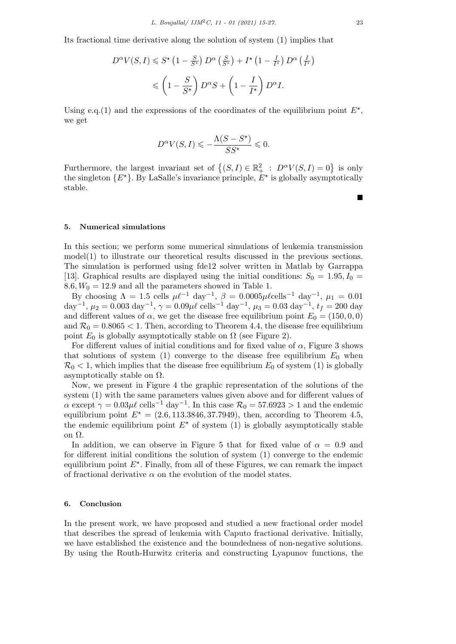Its fractional time derivative along the solution of system (1) implies that

$$
D^{\alpha}V(S,I) \leq S^{\star} \left(1 - \frac{S}{S^{\star}}\right) D^{\alpha} \left(\frac{S}{S^{\star}}\right) + I^{\star} \left(1 - \frac{I}{I^{\star}}\right) D^{\alpha} \left(\frac{I}{I^{\star}}\right)
$$

$$
\leqslant \left(1 - \frac{S}{S^{\star}}\right) D^{\alpha}S + \left(1 - \frac{I}{I^{\star}}\right) D^{\alpha}I.
$$

Using e.q.(1) and the expressions of the coordinates of the equilibrium point  $E^*$ , we get

$$
D^{\alpha}V(S,I) \leqslant -\frac{\Lambda(S - S^{\star})}{SS^{\star}} \leqslant 0.
$$

Furthermore, the largest invariant set of  $\{(S, I) \in \mathbb{R}^2_+ : D^{\alpha}V(S, I) = 0\}$  is only the singleton  ${E^{\star}}$ . By LaSalle's invariance principle,  $E^{\star}$  is globally asymptotically stable.

### **5. Numerical simulations**

In this section; we perform some numerical simulations of leukemia transmission  $model(1)$  to illustrate our theoretical results discussed in the previous sections. The simulation is performed using fde12 solver written in Matlab by Garrappa [13]. Graphical results are displayed using the initial conditions:  $S_0 = 1.95, I_0 = 1.95$  $8.6, W_0 = 12.9$  and all the parameters showed in Table 1.

By choosing  $\Lambda = 1.5$  cells  $\mu \ell^{-1}$  day<sup>-1</sup>,  $\beta = 0.0005 \mu \ell$ cells<sup>-1</sup> day<sup>-1</sup>,  $\mu_1 = 0.01$ day<sup>-1</sup>,  $\mu_2 = 0.003 \text{ day}^{-1}$ ,  $\gamma = 0.09 \mu \ell \text{ cells}^{-1} \text{ day}^{-1}$ ,  $\mu_3 = 0.03 \text{ day}^{-1}$ ,  $t_f = 200 \text{ day}$ and different values of  $\alpha$ , we get the disease free equilibrium point  $E_0 = (150, 0, 0)$ and  $\mathcal{R}_0 = 0.8065 < 1$ . Then, according to Theorem 4.4, the disease free equilibrium point  $E_0$  is globally asymptotically stable on  $\Omega$  (see Figure 2).

For different values of initial conditions and for fixed value of  $\alpha$ , Figure 3 shows that solutions of system  $(1)$  converge to the disease free equilibrium  $E_0$  when  $\mathcal{R}_0$  < 1, which implies that the disease free equilibrium  $E_0$  of system (1) is globally asymptotically stable on  $\Omega$ .

Now, we present in Figure 4 the graphic representation of the solutions of the system (1) with the same parameters values given above and for different values of  $\alpha$  except  $\gamma = 0.03\mu\ell$  cells<sup>-1</sup> day<sup>-1</sup>. In this case  $\mathcal{R}_0 = 57.6923 > 1$  and the endemic equilibrium point  $E^* = (2.6, 113.3846, 37.7949)$ , then, according to Theorem 4.5, the endemic equilibrium point  $E^*$  of system (1) is globally asymptotically stable on Ω.

In addition, we can observe in Figure 5 that for fixed value of  $\alpha = 0.9$  and for different initial conditions the solution of system (1) converge to the endemic equilibrium point  $E^*$ . Finally, from all of these Figures, we can remark the impact of fractional derivative  $\alpha$  on the evolution of the model states.

### **6. Conclusion**

In the present work, we have proposed and studied a new fractional order model that describes the spread of leukemia with Caputo fractional derivative. Initially, we have established the existence and the boundedness of non-negative solutions. By using the Routh-Hurwitz criteria and constructing Lyapunov functions, the

■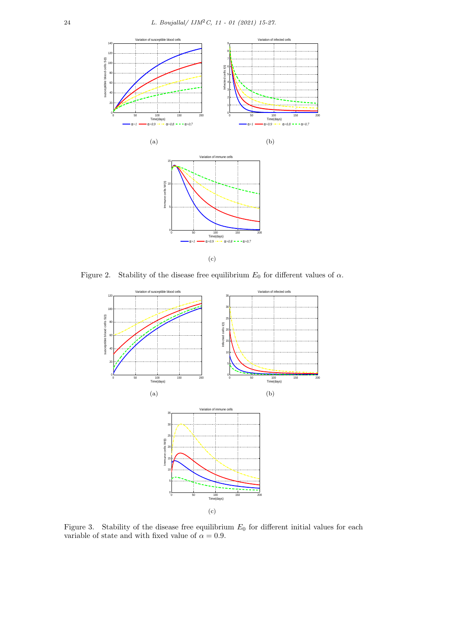

Figure 2. Stability of the disease free equilibrium  $E_0$  for different values of  $\alpha$ .



Figure 3. Stability of the disease free equilibrium  $E_0$  for different initial values for each variable of state and with fixed value of  $\alpha = 0.9$ .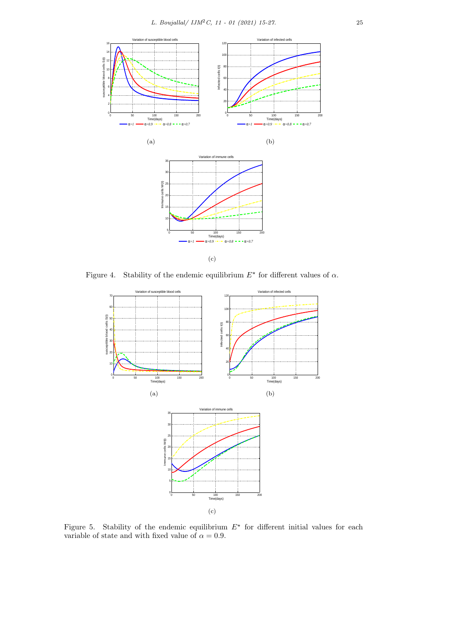

Figure 4. Stability of the endemic equilibrium  $E^*$  for different values of  $\alpha$ .



Figure 5. Stability of the endemic equilibrium  $E^*$  for different initial values for each variable of state and with fixed value of  $\alpha = 0.9$ .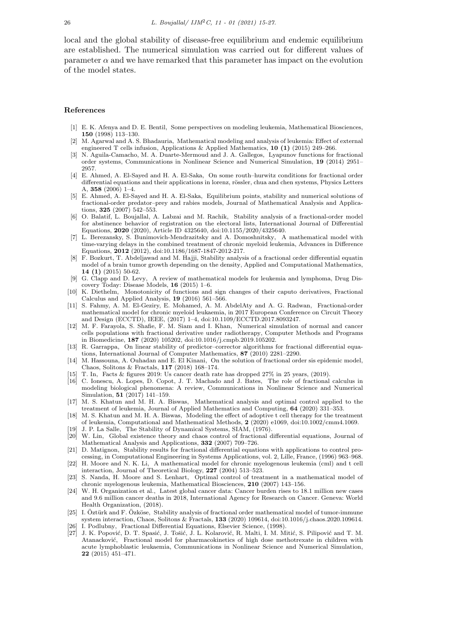local and the global stability of disease-free equilibrium and endemic equilibrium are established. The numerical simulation was carried out for different values of parameter  $\alpha$  and we have remarked that this parameter has impact on the evolution of the model states.

#### **References**

- [1] E. K. Afenya and D. E. Bentil, Some perspectives on modeling leukemia, Mathematical Biosciences, **150** (1998) 113–130.
- [2] M. Agarwal and A. S. Bhadauria, Mathematical modeling and analysis of leukemia: Effect of external engineered T cells infusion, Applications & Applied Mathematics, **10 (1)** (2015) 249–266.
- [3] N. Aguila-Camacho, M. A. Duarte-Mermoud and J. A. Gallegos, Lyapunov functions for fractional order systems, Communications in Nonlinear Science and Numerical Simulation, **19** (2014) 2951– 2957.
- [4] E. Ahmed, A. El-Sayed and H. A. El-Saka, On some routh–hurwitz conditions for fractional order differential equations and their applications in lorenz, rössler, chua and chen systems, Physics Letters A, **358** (2006) 1–4.
- [5] E. Ahmed, A. El-Sayed and H. A. El-Saka, Equilibrium points, stability and numerical solutions of fractional-order predator–prey and rabies models, Journal of Mathematical Analysis and Applications, **325** (2007) 542–553.
- [6] O. Balatif, L. Boujallal, A. Labzai and M. Rachik, Stability analysis of a fractional-order model for abstinence behavior of registration on the electoral lists, International Journal of Differential Equations, **2020** (2020), Article ID 4325640, doi:10.1155/2020/4325640.
- [7] L. Berezansky, S. Bunimovich-Mendrazitsky and A. Domoshnitsky, A mathematical model with time-varying delays in the combined treatment of chronic myeloid leukemia, Advances in Difference Equations, **2012** (2012), doi:10.1186/1687-1847-2012-217.
- [8] F. Bozkurt, T. Abdeljawad and M. Hajji, Stability analysis of a fractional order differential equatin model of a brain tumor growth depending on the density, Applied and Computational Mathematics, **14 (1)** (2015) 50-62.
- [9] G. Clapp and D. Levy, A review of mathematical models for leukemia and lymphoma, Drug Discovery Today: Disease Models, **16** (2015) 1–6.
- [10] K. Diethelm, Monotonicity of functions and sign changes of their caputo derivatives, Fractional Calculus and Applied Analysis, **19** (2016) 561–566.
- [11] S. Fahmy, A. M. El-Geziry, E. Mohamed, A. M. AbdelAty and A. G. Radwan, Fractional-order mathematical model for chronic myeloid leukaemia, in 2017 European Conference on Circuit Theory and Design (ECCTD), IEEE, (2017) 1–4, doi:10.1109/ECCTD.2017.8093247.
- [12] M. F. Farayola, S. Shafie, F. M. Siam and I. Khan, Numerical simulation of normal and cancer cells populations with fractional derivative under radiotherapy, Computer Methods and Programs in Biomedicine, **187** (2020) 105202, doi:10.1016/j.cmpb.2019.105202.
- [13] R. Garrappa, On linear stability of predictor–corrector algorithms for fractional differential equations, International Journal of Computer Mathematics, **87** (2010) 2281–2290.
- [14] M. Hassouna, A. Ouhadan and E. El Kinani, On the solution of fractional order sis epidemic model, Chaos, Solitons & Fractals, **117** (2018) 168–174.
- [15] T. In, Facts & figures 2019: Us cancer death rate has dropped 27% in 25 years, (2019).
- [16] C. Ionescu, A. Lopes, D. Copot, J. T. Machado and J. Bates, The role of fractional calculus in modeling biological phenomena: A review, Communications in Nonlinear Science and Numerical Simulation, **51** (2017) 141–159.
- [17] M. S. Khatun and M. H. A. Biswas, Mathematical analysis and optimal control applied to the treatment of leukemia, Journal of Applied Mathematics and Computing, **64** (2020) 331–353.
- [18] M. S. Khatun and M. H. A. Biswas, Modeling the effect of adoptive t cell therapy for the treatment of leukemia, Computational and Mathematical Methods, **2** (2020) e1069, doi:10.1002/cmm4.1069.
- [19] J. P. La Salle, The Stability of Dynamical Systems, SIAM, (1976).
- [20] W. Lin, Global existence theory and chaos control of fractional differential equations, Journal of Mathematical Analysis and Applications, **332** (2007) 709–726.
- [21] D. Matignon, Stability results for fractional differential equations with applications to control processing, in Computational Engineering in Systems Applications, vol. 2, Lille, France, (1996) 963–968.
- [22] H. Moore and N. K. Li, A mathematical model for chronic myelogenous leukemia (cml) and t cell interaction, Journal of Theoretical Biology, **227** (2004) 513–523.
- [23] S. Nanda, H. Moore and S. Lenhart, Optimal control of treatment in a mathematical model of chronic myelogenous leukemia, Mathematical Biosciences, **210** (2007) 143–156.
- [24] W. H. Organization et al., Latest global cancer data: Cancer burden rises to 18.1 million new cases and 9.6 million cancer deaths in 2018, International Agency for Research on Cancer. Geneva: World Health Organization, (2018).
- $[25]$  I. Oztürk and F. Özköse, Stability analysis of fractional order mathematical model of tumor-immune system interaction, Chaos, Solitons & Fractals, **133** (2020) 109614, doi:10.1016/j.chaos.2020.109614. [26] I. Podlubny, Fractional Differential Equations, Elsevier Science, (1998).
- [27] J. K. Popović, D. T. Spasić, J. Tošić, J. L. Kolarović, R. Malti, I. M. Mitić, S. Pilipović and T. M. Atanacković, Fractional model for pharmacokinetics of high dose methotrexate in children with acute lymphoblastic leukaemia, Communications in Nonlinear Science and Numerical Simulation, **22** (2015) 451–471.